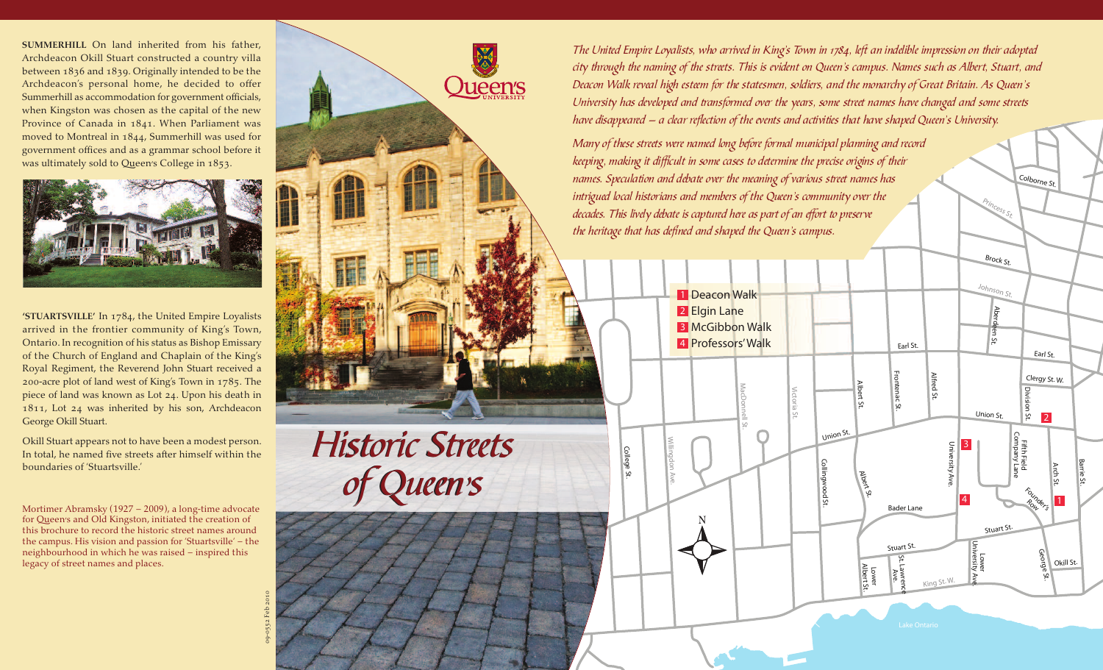**SUMMERHILL** On land inherited from his father, Archdeacon Okill Stuart constructed a country villa between 1836 and 1839. Originally intended to be the Archdeacon's personal home, he decided to offer Summerhill as accommodation for government officials, when Kingston was chosen as the capital of the new Province of Canada in 1841. When Parliament was moved to Montreal in 1844, Summerhill was used for government offices and as a grammar school before it was ultimately sold to Queen's College in 1853.



**'stuartsville'** In 1784, the United Empire Loyalists arrived in the frontier community of King's Town, Ontario. In recognition of his status as Bishop Emissary of the Church of England and Chaplain of the King's Royal Regiment, the Reverend John Stuart received a 200-acre plot of land west of King's Town in 1785. The piece of land was known as Lot 24. Upon his death in 1811, Lot 24 was inherited by his son, Archdeacon George Okill Stuart.

Okill Stuart appears not to have been a modest person. In total, he named five streets after himself within the boundaries of 'Stuartsville.'

Mortimer Abramsky (1927 – 2009), a long-time advocate for Queen's and Old Kingston, initiated the creation of this brochure to record the historic street names around the campus. His vision and passion for 'Stuartsville' – the neighbourhood in which he was raised – inspired this legacy of street names and places.

09-0552 Feb 2010



The United Empire Loyalists, who arrived in King's Town in 1784, left an indelible impression on their adopted city through the naming of the streets. This is evident on Queen's campus. Names such as Albert, Stuart, and Deacon Walk reveal high esteem for the statesmen, soldiers, and the monarchy of Great Britain. As Queen's University has developed and transformed over the years, some street names have changed and some streets have disappeared – a clear reflection of the events and activities that have shaped Queen's University.

LColborne St.

Brock St.

Princess St.

Many of these streets were named long before formal municipal planning and record keeping, making it difficult in some cases to determine the precise origins of their names. Speculation and debate over the meaning of various street names has intrigued local historians and members of the Queen's community over the decades. This lively debate is captured here as part of an effort to preserve the heritage that has defined and shaped the Queen's campus.